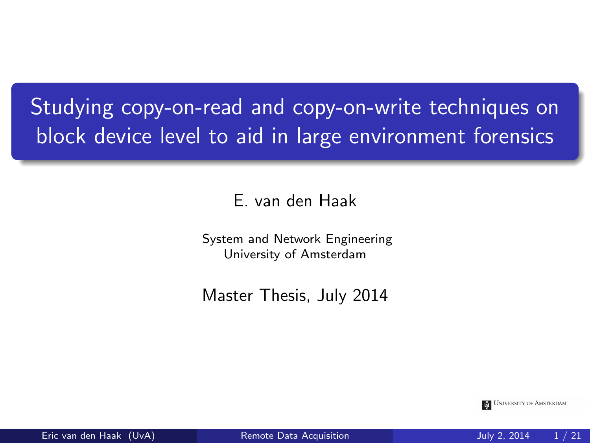<span id="page-0-0"></span>Studying copy-on-read and copy-on-write techniques on block device level to aid in large environment forensics

#### E. van den Haak

System and Network Engineering University of Amsterdam

Master Thesis, July 2014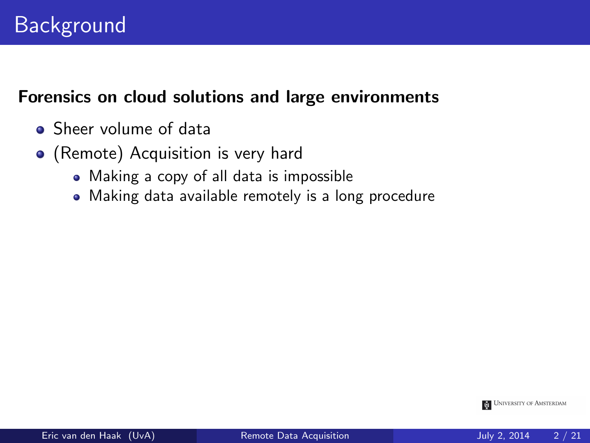#### Forensics on cloud solutions and large environments

- **•** Sheer volume of data
- (Remote) Acquisition is very hard
	- Making a copy of all data is impossible
	- Making data available remotely is a long procedure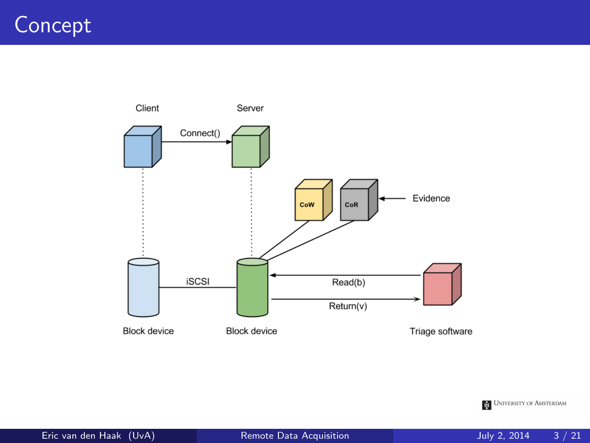## Concept

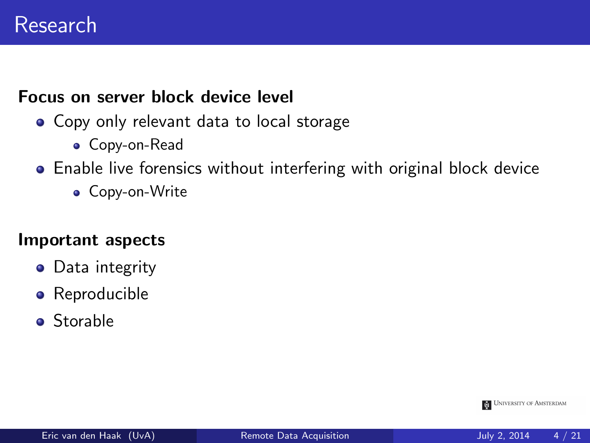#### Focus on server block device level

- Copy only relevant data to local storage
	- Copy-on-Read
- Enable live forensics without interfering with original block device
	- Copy-on-Write

#### Important aspects

- Data integrity
- **•** Reproducible
- **o** Storable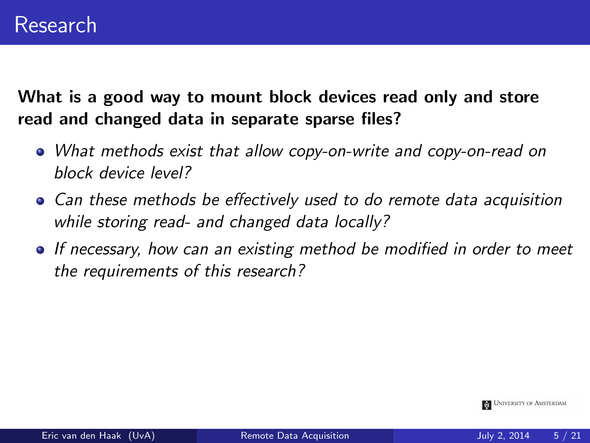What is a good way to mount block devices read only and store read and changed data in separate sparse files?

- What methods exist that allow copy-on-write and copy-on-read on block device level?
- Can these methods be effectively used to do remote data acquisition while storing read- and changed data locally?
- If necessary, how can an existing method be modified in order to meet the requirements of this research?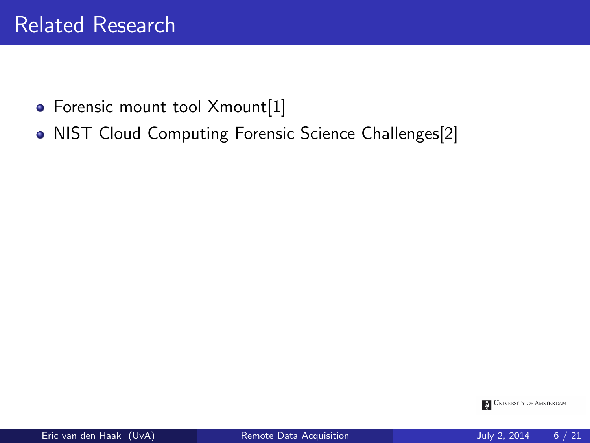- Forensic mount tool Xmount[\[1\]](#page-24-1)
- NIST Cloud Computing Forensic Science Challenges<sup>[\[2\]](#page-24-2)</sup>

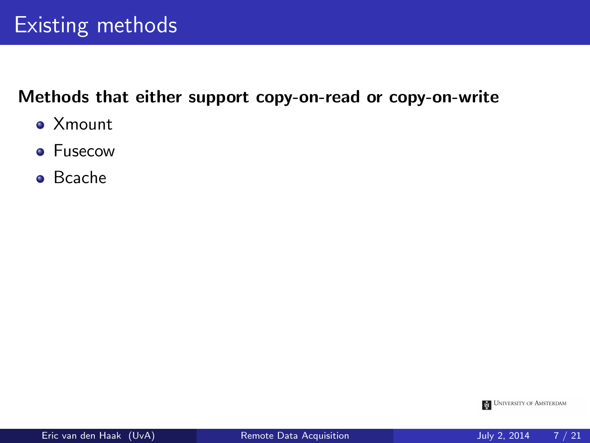#### Methods that either support copy-on-read or copy-on-write

- Xmount
- **•** Fusecow
- Bcache

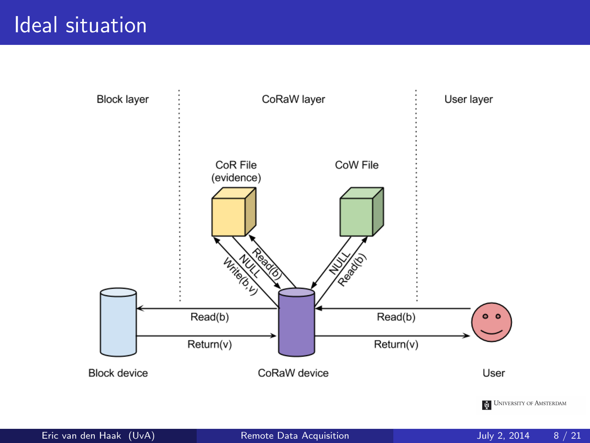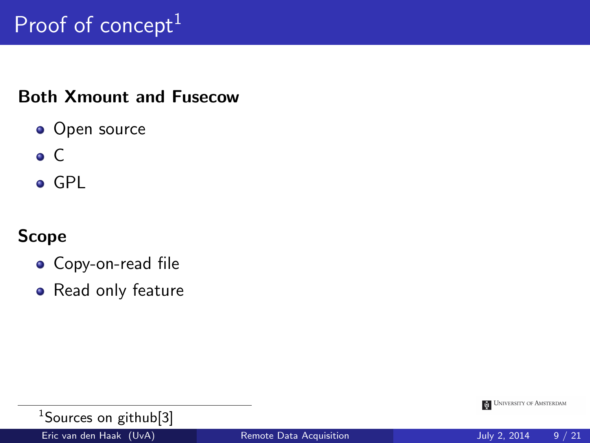# Proof of concept $1$

#### Both Xmount and Fusecow

- Open source
- $\bullet$  C
- $\bullet$  GPL

#### Scope

- Copy-on-read file
- Read only feature



<sup>1</sup>Sources on github<sup>[\[3\]](#page-24-3)</sup>

Eric van den Haak (UvA) [Remote Data Acquisition](#page-0-0) July 2, 2014 9/21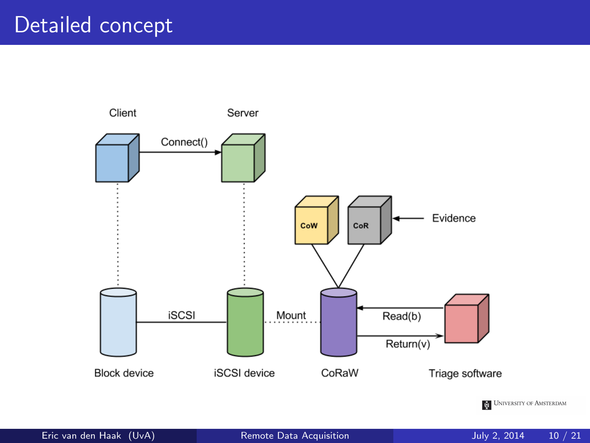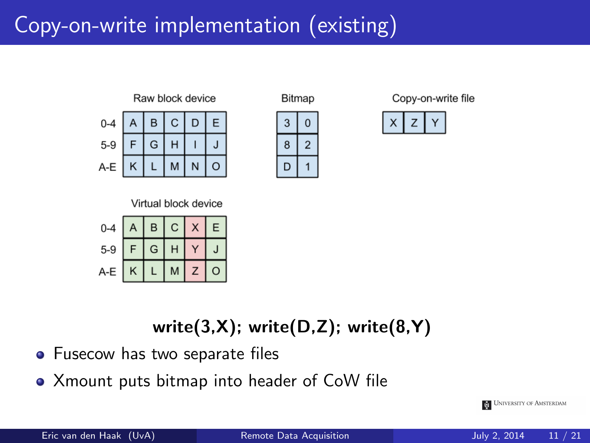# Copy-on-write implementation (existing)



| Bitmap |   |  |  |  |  |  |  |
|--------|---|--|--|--|--|--|--|
|        | 3 |  |  |  |  |  |  |
|        | 8 |  |  |  |  |  |  |
|        |   |  |  |  |  |  |  |

Copy-on-write file



#### Virtual block device



#### write $(3,X)$ ; write $(D,Z)$ ; write $(8,Y)$

- Fusecow has two separate files
- Xmount puts bitmap into header of CoW file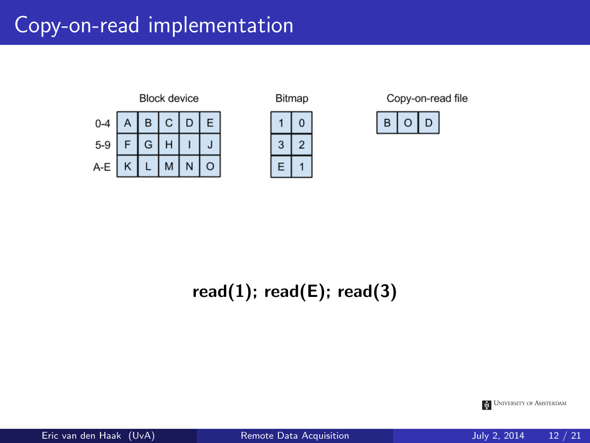## Copy-on-read implementation





Copy-on-read file



### read $(1)$ ; read $(E)$ ; read $(3)$



Eric van den Haak (UvA) [Remote Data Acquisition](#page-0-0) July 2, 2014 12 / 21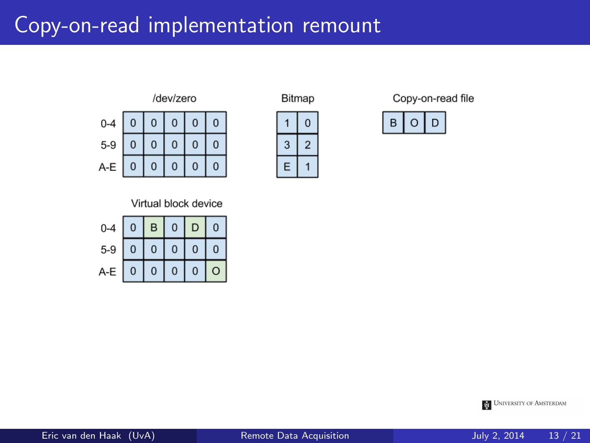## Copy-on-read implementation remount





Copy-on-read file



#### Virtual block device

| $0 - 4$ | $\mathbf 0$    | B              | $\overline{0}$ | D              | $\mathbf 0$ |
|---------|----------------|----------------|----------------|----------------|-------------|
| $5 - 9$ | $\mathbf{0}$   | $\mathbf{0}$   | $\mathbf{0}$   | $\overline{0}$ | $\mathbf 0$ |
| A-E     | $\overline{0}$ | $\overline{0}$ | $\overline{0}$ | 0              | $\circ$     |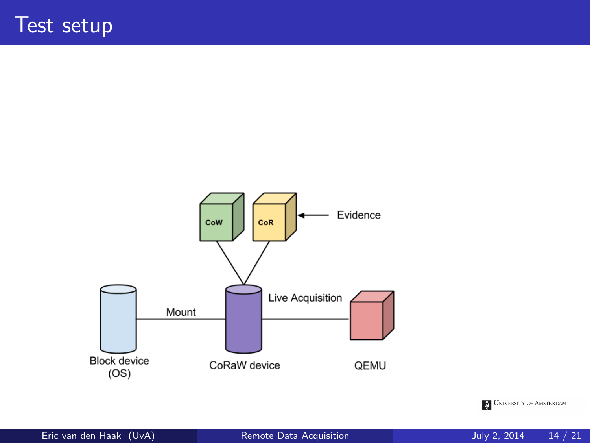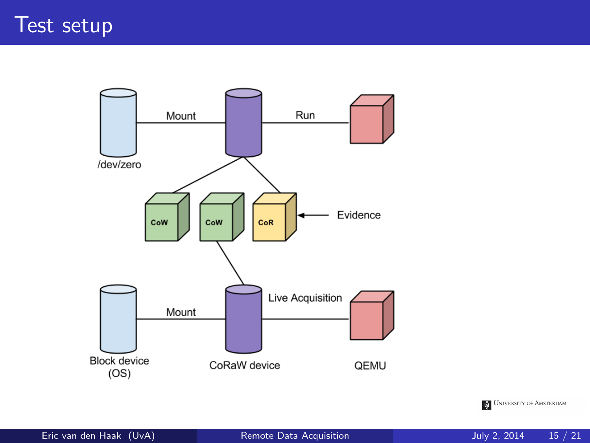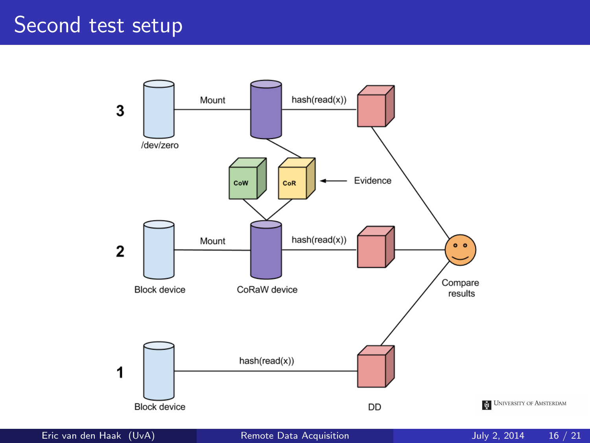## Second test setup



Eric van den Haak (UvA) [Remote Data Acquisition](#page-0-0) July 2, 2014 16 / 21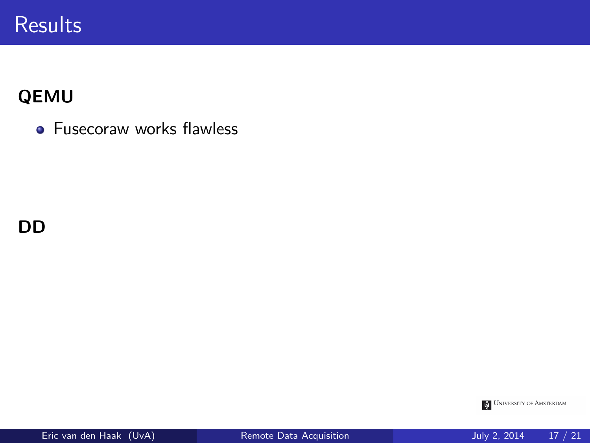### QEMU

**•** Fusecoraw works flawless

DD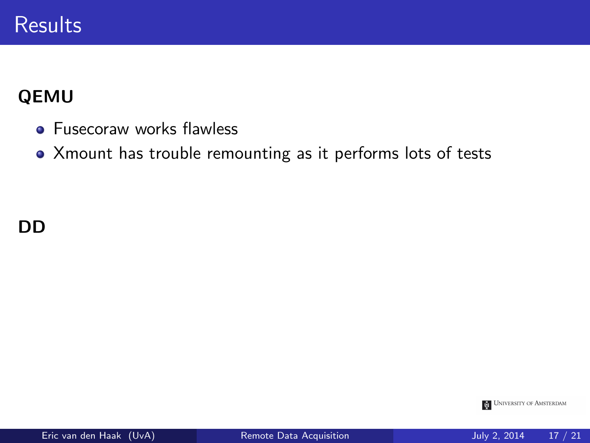### QEMU

- **•** Fusecoraw works flawless
- Xmount has trouble remounting as it performs lots of tests

DD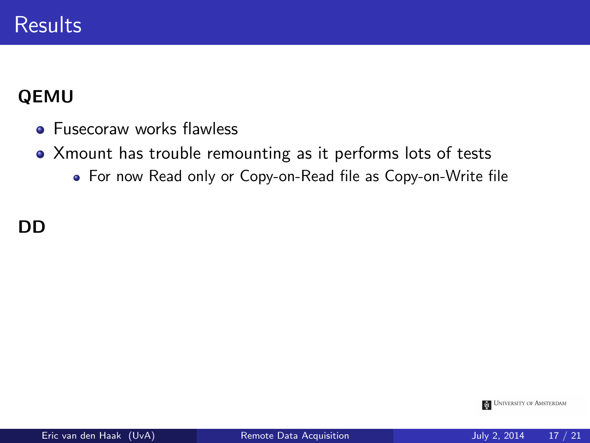### QEMU

- **•** Fusecoraw works flawless
- Xmount has trouble remounting as it performs lots of tests
	- For now Read only or Copy-on-Read file as Copy-on-Write file

DD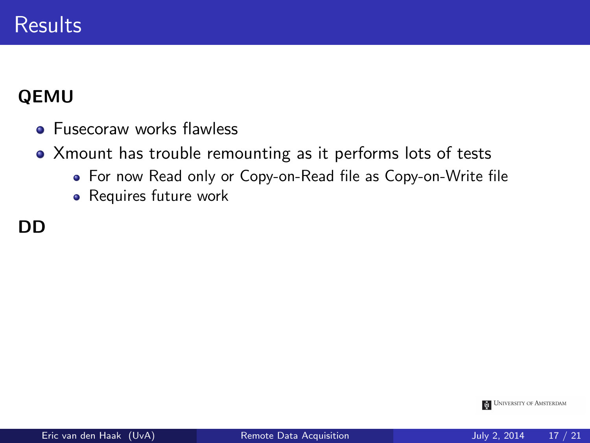### QEMU

- **Fusecoraw works flawless**
- Xmount has trouble remounting as it performs lots of tests
	- For now Read only or Copy-on-Read file as Copy-on-Write file
	- Requires future work

#### DD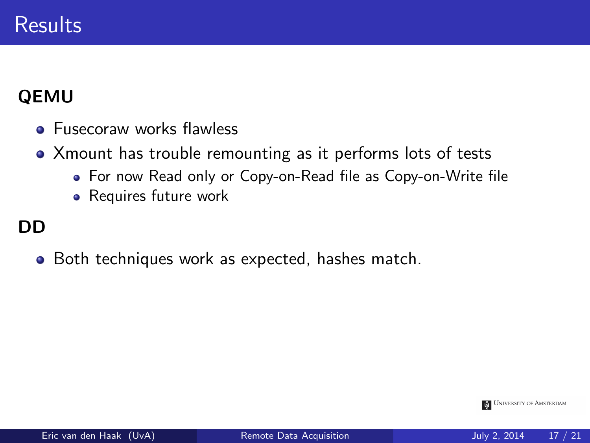### QEMU

- **•** Fusecoraw works flawless
- Xmount has trouble remounting as it performs lots of tests
	- For now Read only or Copy-on-Read file as Copy-on-Write file
	- Requires future work

#### DD

Both techniques work as expected, hashes match.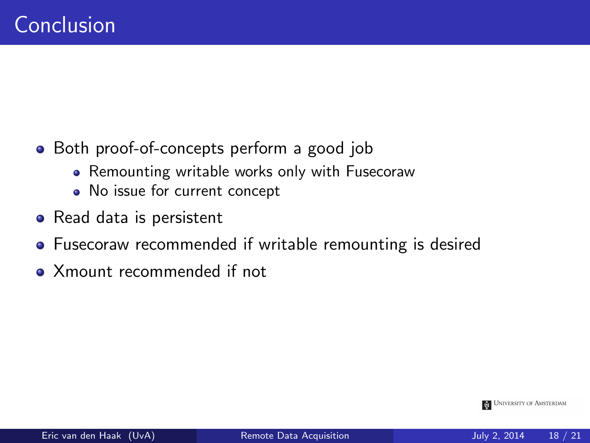- Both proof-of-concepts perform a good job
	- Remounting writable works only with Fusecoraw
	- No issue for current concept
- Read data is persistent
- **•** Fusecoraw recommended if writable remounting is desired
- Xmount recommended if not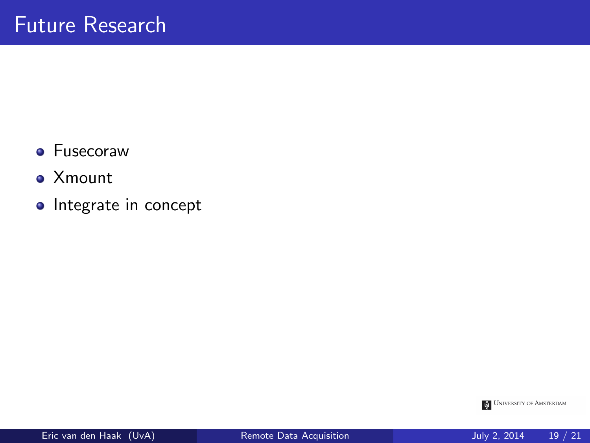- **•** Fusecoraw
- Xmount
- Integrate in concept

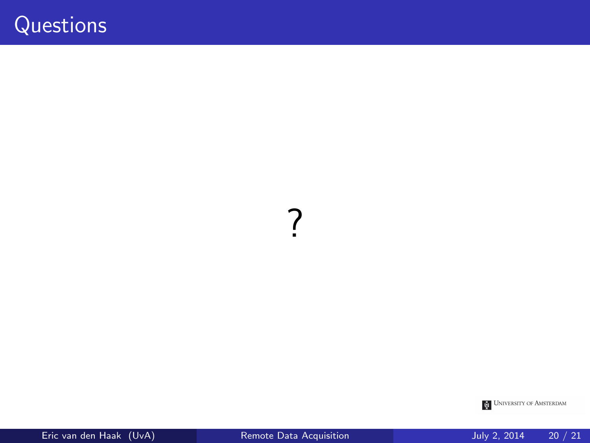## **Questions**

?



Eric van den Haak (UvA) [Remote Data Acquisition](#page-0-0) July 2, 2014 20 / 21